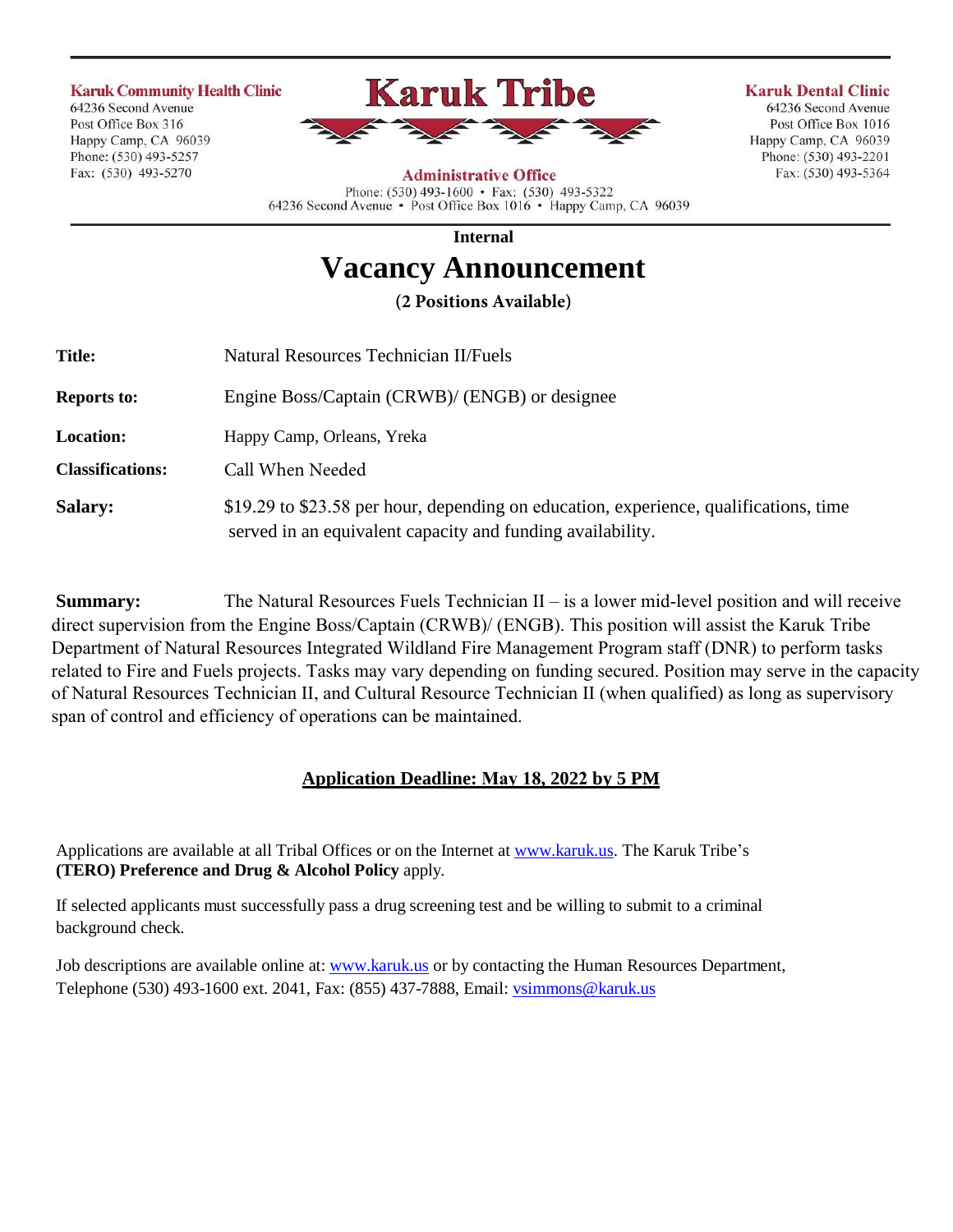#### **Karuk Community Health Clinic**

64236 Second Avenue Post Office Box 316 Happy Camp, CA 96039 Phone: (530) 493-5257 Fax: (530) 493-5270



**Karuk Dental Clinic** 64236 Second Avenue Post Office Box 1016

Happy Camp, CA 96039

Phone: (530) 493-2201

Fax: (530) 493-5364

#### **Administrative Office**

Phone: (530) 493-1600 • Fax: (530) 493-5322 64236 Second Avenue · Post Office Box 1016 · Happy Camp, CA 96039

**Internal** 

# **Vacancy Announcement**

**(2 Positions Available)**

| <b>Title:</b>           | Natural Resources Technician II/Fuels                                                                                                               |
|-------------------------|-----------------------------------------------------------------------------------------------------------------------------------------------------|
| <b>Reports to:</b>      | Engine Boss/Captain (CRWB)/ (ENGB) or designee                                                                                                      |
| <b>Location:</b>        | Happy Camp, Orleans, Yreka                                                                                                                          |
| <b>Classifications:</b> | Call When Needed                                                                                                                                    |
| <b>Salary:</b>          | \$19.29 to \$23.58 per hour, depending on education, experience, qualifications, time<br>served in an equivalent capacity and funding availability. |

**Summary:** The Natural Resources Fuels Technician II – is a lower mid-level position and will receive direct supervision from the Engine Boss/Captain (CRWB)/ (ENGB). This position will assist the Karuk Tribe Department of Natural Resources Integrated Wildland Fire Management Program staff (DNR) to perform tasks related to Fire and Fuels projects. Tasks may vary depending on funding secured. Position may serve in the capacity of Natural Resources Technician II, and Cultural Resource Technician II (when qualified) as long as supervisory span of control and efficiency of operations can be maintained.

# **Application Deadline: May 18, 2022 by 5 PM**

Applications are available at all Tribal Offices or on the Internet at [www.karuk.us.](http://www.karuk.us/) The Karuk Tribe's **(TERO) Preference and Drug & Alcohol Policy** apply.

If selected applicants must successfully pass a drug screening test and be willing to submit to a criminal background check.

Job descriptions are available online at: [www.karuk.us](http://www.karuk.us/) or by contacting the Human Resources Department, Telephone (530) 493-1600 ext. 2041, Fax: (855) 437-7888, Email: [vsimmons@karuk.us](mailto:vsimmons@karuk.us)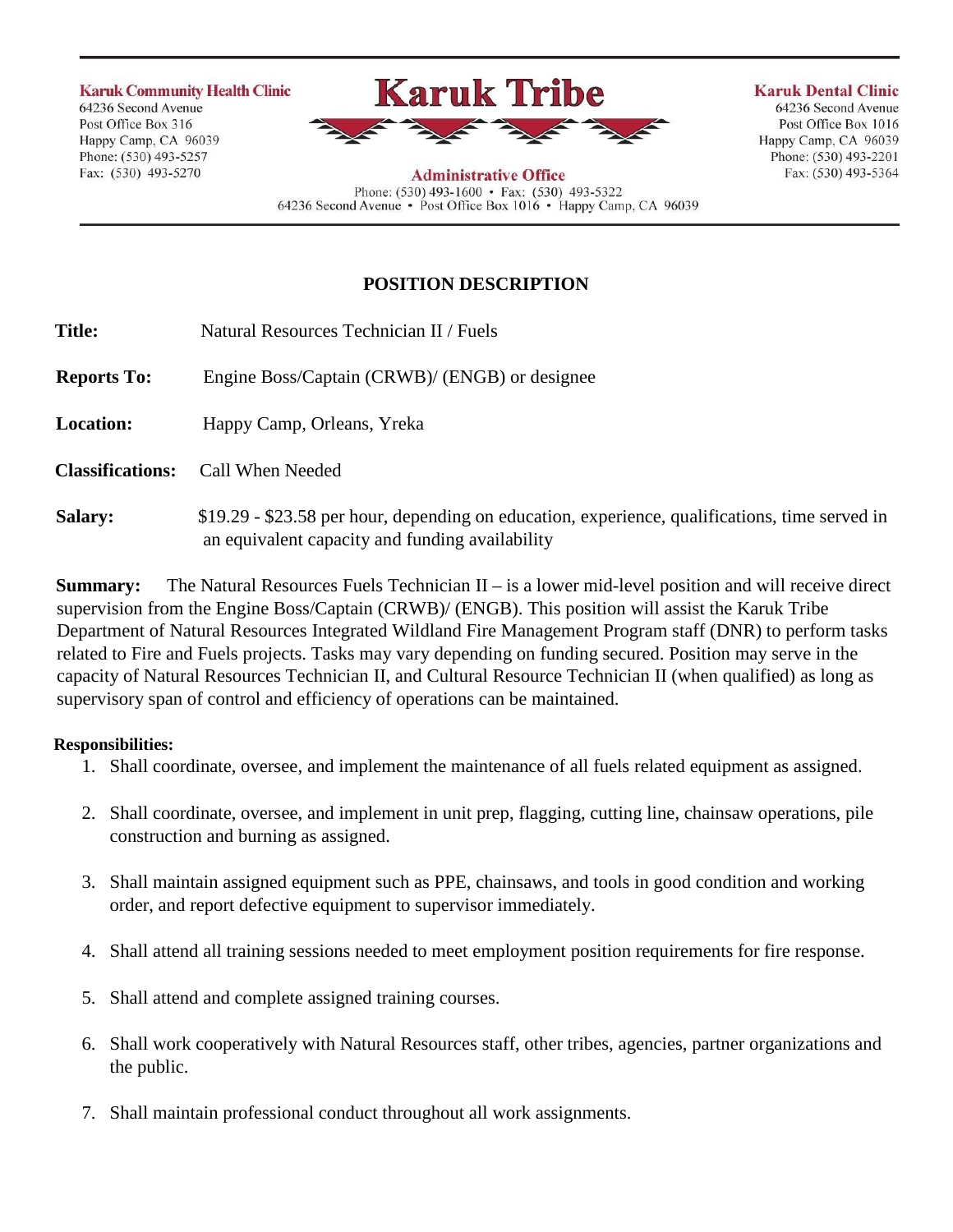**Karuk Community Health Clinic** 64236 Second Avenue

Post Office Box 316 Happy Camp, CA 96039 Phone: (530) 493-5257 Fax: (530) 493-5270



**Karuk Dental Clinic** 64236 Second Avenue Post Office Box 1016 Happy Camp, CA 96039 Phone: (530) 493-2201 Fax: (530) 493-5364

**Administrative Office** Phone: (530) 493-1600 • Fax: (530) 493-5322 64236 Second Avenue • Post Office Box 1016 • Happy Camp, CA 96039

# **POSITION DESCRIPTION**

| <b>Title:</b>           | Natural Resources Technician II / Fuels                                                                                                           |
|-------------------------|---------------------------------------------------------------------------------------------------------------------------------------------------|
| <b>Reports To:</b>      | Engine Boss/Captain (CRWB)/ (ENGB) or designee                                                                                                    |
| <b>Location:</b>        | Happy Camp, Orleans, Yreka                                                                                                                        |
| <b>Classifications:</b> | Call When Needed                                                                                                                                  |
| <b>Salary:</b>          | \$19.29 - \$23.58 per hour, depending on education, experience, qualifications, time served in<br>an equivalent capacity and funding availability |

**Summary:** The Natural Resources Fuels Technician II – is a lower mid-level position and will receive direct supervision from the Engine Boss/Captain (CRWB)/ (ENGB). This position will assist the Karuk Tribe Department of Natural Resources Integrated Wildland Fire Management Program staff (DNR) to perform tasks related to Fire and Fuels projects. Tasks may vary depending on funding secured. Position may serve in the capacity of Natural Resources Technician II, and Cultural Resource Technician II (when qualified) as long as supervisory span of control and efficiency of operations can be maintained.

## **Responsibilities:**

- 1. Shall coordinate, oversee, and implement the maintenance of all fuels related equipment as assigned.
- 2. Shall coordinate, oversee, and implement in unit prep, flagging, cutting line, chainsaw operations, pile construction and burning as assigned.
- 3. Shall maintain assigned equipment such as PPE, chainsaws, and tools in good condition and working order, and report defective equipment to supervisor immediately.
- 4. Shall attend all training sessions needed to meet employment position requirements for fire response.
- 5. Shall attend and complete assigned training courses.
- 6. Shall work cooperatively with Natural Resources staff, other tribes, agencies, partner organizations and the public.
- 7. Shall maintain professional conduct throughout all work assignments.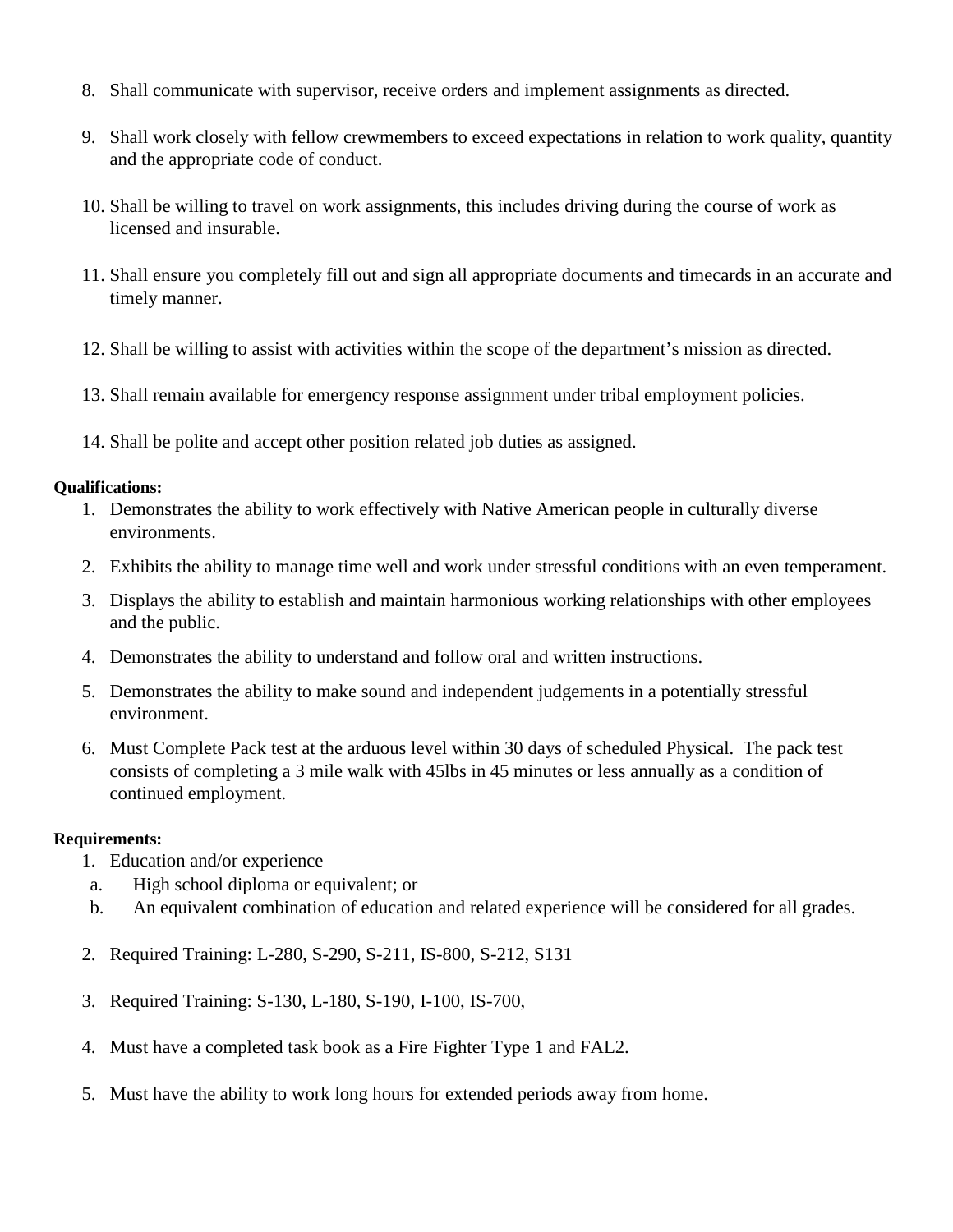- 8. Shall communicate with supervisor, receive orders and implement assignments as directed.
- 9. Shall work closely with fellow crewmembers to exceed expectations in relation to work quality, quantity and the appropriate code of conduct.
- 10. Shall be willing to travel on work assignments, this includes driving during the course of work as licensed and insurable.
- 11. Shall ensure you completely fill out and sign all appropriate documents and timecards in an accurate and timely manner.
- 12. Shall be willing to assist with activities within the scope of the department's mission as directed.
- 13. Shall remain available for emergency response assignment under tribal employment policies.
- 14. Shall be polite and accept other position related job duties as assigned.

#### **Qualifications:**

- 1. Demonstrates the ability to work effectively with Native American people in culturally diverse environments.
- 2. Exhibits the ability to manage time well and work under stressful conditions with an even temperament.
- 3. Displays the ability to establish and maintain harmonious working relationships with other employees and the public.
- 4. Demonstrates the ability to understand and follow oral and written instructions.
- 5. Demonstrates the ability to make sound and independent judgements in a potentially stressful environment.
- 6. Must Complete Pack test at the arduous level within 30 days of scheduled Physical. The pack test consists of completing a 3 mile walk with 45lbs in 45 minutes or less annually as a condition of continued employment.

### **Requirements:**

- 1. Education and/or experience
- a. High school diploma or equivalent; or
- b. An equivalent combination of education and related experience will be considered for all grades.
- 2. Required Training: L-280, S-290, S-211, IS-800, S-212, S131
- 3. Required Training: S-130, L-180, S-190, I-100, IS-700,
- 4. Must have a completed task book as a Fire Fighter Type 1 and FAL2.
- 5. Must have the ability to work long hours for extended periods away from home.